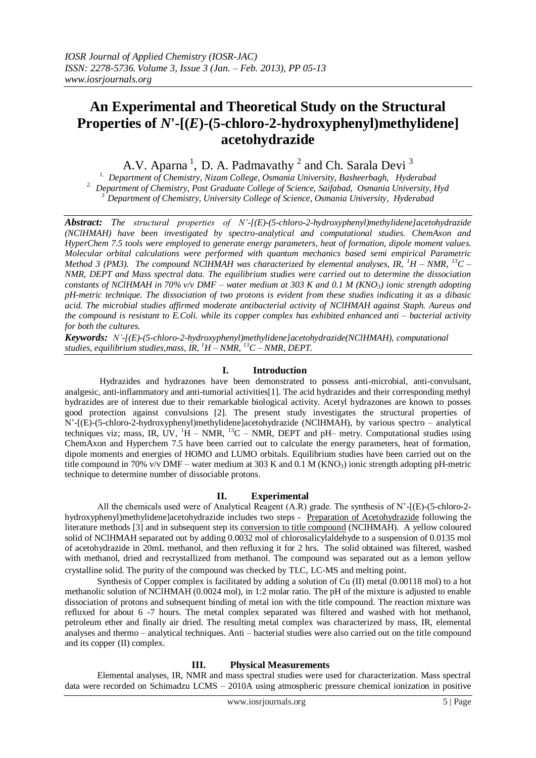# **An Experimental and Theoretical Study on the Structural Properties of** *N***'-[(***E***)-(5-chloro-2-hydroxyphenyl)methylidene] acetohydrazide**

A.V. Aparna<sup>1</sup>, D. A. Padmavathy<sup>2</sup> and Ch. Sarala Devi<sup>3</sup>

*1. Department of Chemistry, Nizam College, Osmania University, Basheerbagh, Hyderabad 2. Department of Chemistry, Post Graduate College of Science, Saifabad, Osmania University, Hyd <sup>3</sup>Department of Chemistry, University College of Science, Osmania University, Hyderabad*

*Abstract: The structural properties of N'-[(E)-(5-chloro-2-hydroxyphenyl)methylidene]acetohydrazide (NClHMAH) have been investigated by spectro-analytical and computational studies. ChemAxon and HyperChem 7.5 tools were employed to generate energy parameters, heat of formation, dipole moment values. Molecular orbital calculations were performed with quantum mechanics based semi empirical Parametric Method 3 (PM3). The compound NClHMAH was characterized by elemental analyses, IR, <sup>1</sup>H – NMR, <sup>13</sup>C – NMR, DEPT and Mass spectral data. The equilibrium studies were carried out to determine the dissociation constants of NClHMAH in 70% v/v DMF – water medium at 303 K and 0.1 M (KNO3) ionic strength adopting pH-metric technique. The dissociation of two protons is evident from these studies indicating it as a dibasic acid. The microbial studies affirmed moderate antibacterial activity of NClHMAH against Staph. Aureus and the compound is resistant to E.Coli. while its copper complex has exhibited enhanced anti – bacterial activity for both the cultures.* 

*Keywords: N'-[(E)-(5-chloro-2-hydroxyphenyl)methylidene]acetohydrazide(NClHMAH), computational studies, equilibrium studies,mass, IR, <sup>1</sup>H – NMR, <sup>13</sup>C – NMR, DEPT.*

### **I. Introduction**

Hydrazides and hydrazones have been demonstrated to possess anti-microbial, anti-convulsant, analgesic, anti-inflammatory and anti-tumorial activities[1]. The acid hydrazides and their corresponding methyl hydrazides are of interest due to their remarkable biological activity. Acetyl hydrazones are known to posses good protection against convulsions [2]. The present study investigates the structural properties of N'-[(E)-(5-chloro-2-hydroxyphenyl)methylidene]acetohydrazide (NClHMAH), by various spectro – analytical techniques viz; mass, IR, UV,  ${}^{1}H$  – NMR,  ${}^{13}C$  – NMR, DEPT and pH– metry. Computational studies using ChemAxon and Hyperchem 7.5 have been carried out to calculate the energy parameters, heat of formation, dipole moments and energies of HOMO and LUMO orbitals. Equilibrium studies have been carried out on the title compound in 70% v/v DMF – water medium at 303 K and 0.1 M (KNO<sub>3</sub>) ionic strength adopting pH-metric technique to determine number of dissociable protons.

## **II. Experimental**

All the chemicals used were of Analytical Reagent (A.R) grade. The synthesis of N'-[(E)-(5-chloro-2 hydroxyphenyl)methylidene]acetohydrazide includes two steps - Preparation of Acetohydrazide following the literature methods [3] and in subsequent step its conversion to title compound (NClHMAH). A yellow coloured solid of NClHMAH separated out by adding 0.0032 mol of chlorosalicylaldehyde to a suspension of 0.0135 mol of acetohydrazide in 20mL methanol, and then refluxing it for 2 hrs. The solid obtained was filtered, washed with methanol, dried and recrystallized from methanol. The compound was separated out as a lemon yellow crystalline solid. The purity of the compound was checked by TLC, LC-MS and melting point.

 Synthesis of Copper complex is facilitated by adding a solution of Cu (II) metal (0.00118 mol) to a hot methanolic solution of NClHMAH (0.0024 mol), in 1:2 molar ratio. The pH of the mixture is adjusted to enable dissociation of protons and subsequent binding of metal ion with the title compound. The reaction mixture was refluxed for about 6 -7 hours. The metal complex separated was filtered and washed with hot methanol, petroleum ether and finally air dried. The resulting metal complex was characterized by mass, IR, elemental analyses and thermo – analytical techniques. Anti – bacterial studies were also carried out on the title compound and its copper (II) complex.

#### **III. Physical Measurements**

Elemental analyses, IR, NMR and mass spectral studies were used for characterization. Mass spectral data were recorded on Schimadzu LCMS – 2010A using atmospheric pressure chemical ionization in positive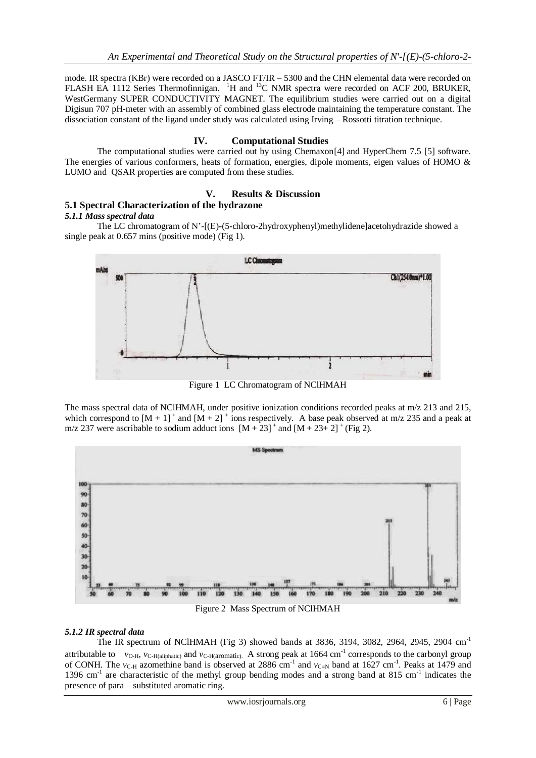mode. IR spectra (KBr) were recorded on a JASCO FT/IR – 5300 and the CHN elemental data were recorded on FLASH EA 1112 Series Thermofinnigan. <sup>1</sup>H and <sup>13</sup>C NMR spectra were recorded on ACF 200, BRUKER, WestGermany SUPER CONDUCTIVITY MAGNET. The equilibrium studies were carried out on a digital Digisun 707 pH-meter with an assembly of combined glass electrode maintaining the temperature constant. The dissociation constant of the ligand under study was calculated using Irving – Rossotti titration technique.

### **IV. Computational Studies**

The computational studies were carried out by using Chemaxon[4] and HyperChem 7.5 [5] software. The energies of various conformers, heats of formation, energies, dipole moments, eigen values of HOMO & LUMO and QSAR properties are computed from these studies.

### **V. Results & Discussion**

## **5.1 Spectral Characterization of the hydrazone**

#### *5.1.1 Mass spectral data*

The LC chromatogram of N'-[(E)-(5-chloro-2hydroxyphenyl)methylidene]acetohydrazide showed a single peak at 0.657 mins (positive mode) (Fig 1).



Figure 1 LC Chromatogram of NClHMAH

The mass spectral data of NClHMAH, under positive ionization conditions recorded peaks at m/z 213 and 215, which correspond to  $[M + 1]^+$  and  $[M + 2]^+$  ions respectively. A base peak observed at m/z 235 and a peak at m/z 237 were ascribable to sodium adduct ions  $[M + 23]^+$  and  $[M + 23^+2]^+$  (Fig 2).



#### *5.1.2 IR spectral data*

The IR spectrum of NClHMAH (Fig 3) showed bands at 3836, 3194, 3082, 2964, 2945, 2904 cm-1 attributable to  $v_{\text{O-H}}$ ,  $v_{\text{C-H(aliphatic)}}$  and  $v_{\text{C-H(aromatic)}}$ . A strong peak at 1664 cm<sup>-1</sup> corresponds to the carbonyl group of CONH. The  $v_{\text{C-H}}$  azomethine band is observed at 2886 cm<sup>-1</sup> and  $v_{\text{C-N}}$  band at 1627 cm<sup>-1</sup>. Peaks at 1479 and 1396 cm<sup>-1</sup> are characteristic of the methyl group bending modes and a strong band at 815 cm<sup>-1</sup> indicates the presence of para – substituted aromatic ring.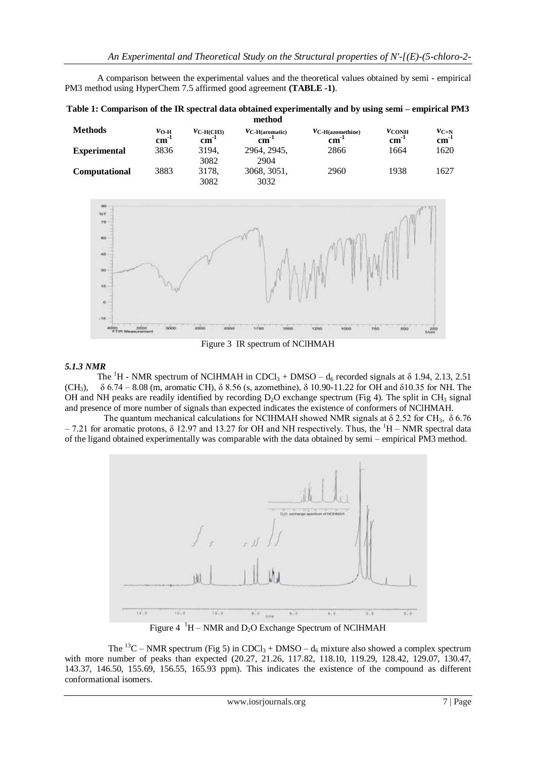A comparison between the experimental values and the theoretical values obtained by semi - empirical PM3 method using HyperChem 7.5 affirmed good agreement **(TABLE -1)**.

| Table 1: Comparison of the IR spectral data obtained experimentally and by using semi – empirical PM3 |
|-------------------------------------------------------------------------------------------------------|
| method                                                                                                |

| <b>Methods</b>       | $v_{O-H}$<br>$\mathbf{cm}^{-1}$ | $v_{\text{C-H(CH3)}}$<br>$\mathbf{cm}$ | $V_{\text{C-H}(\text{aromatic})}$<br>cm | $V_{\text{C-H(azomethine)}}$<br>cm | $v_{\rm CONH}$<br>$\mathbf{cm}^-$ | $v_{C=N}$<br>$\mathbf{cm}$ |
|----------------------|---------------------------------|----------------------------------------|-----------------------------------------|------------------------------------|-----------------------------------|----------------------------|
| <b>Experimental</b>  | 3836                            | 3194.<br>3082                          | 2964, 2945,<br>2904                     | 2866                               | 1664                              | 1620                       |
| <b>Computational</b> | 3883                            | 3178.<br>3082                          | 3068, 3051,<br>3032                     | 2960                               | 1938                              | 1627                       |



Figure 3 IR spectrum of NClHMAH

#### *5.1.3 NMR*

The <sup>1</sup>H - NMR spectrum of NClHMAH in CDCl<sub>3</sub> + DMSO – d<sub>6</sub> recorded signals at  $\delta$  1.94, 2.13, 2.51 (CH<sub>3</sub>),  $δ 6.74 - 8.08$  (m, aromatic CH),  $δ 8.56$  (s, azomethine),  $δ 10.90-11.22$  for OH and  $δ10.35$  for NH. The OH and NH peaks are readily identified by recording  $D_2O$  exchange spectrum (Fig 4). The split in CH<sub>3</sub> signal and presence of more number of signals than expected indicates the existence of conformers of NClHMAH.

The quantum mechanical calculations for NClHMAH showed NMR signals at  $\delta$  2.52 for CH<sub>3</sub>,  $\delta$  6.76  $-7.21$  for aromatic protons, δ 12.97 and 13.27 for OH and NH respectively. Thus, the <sup>1</sup>H – NMR spectral data of the ligand obtained experimentally was comparable with the data obtained by semi – empirical PM3 method.



Figure  $4^{-1}H - NMR$  and  $D_2O$  Exchange Spectrum of NClHMAH

The <sup>13</sup>C – NMR spectrum (Fig 5) in CDCl<sub>3</sub> + DMSO –  $d_6$  mixture also showed a complex spectrum with more number of peaks than expected (20.27, 21.26, 117.82, 118.10, 119.29, 128.42, 129.07, 130.47, 143.37, 146.50, 155.69, 156.55, 165.93 ppm). This indicates the existence of the compound as different conformational isomers.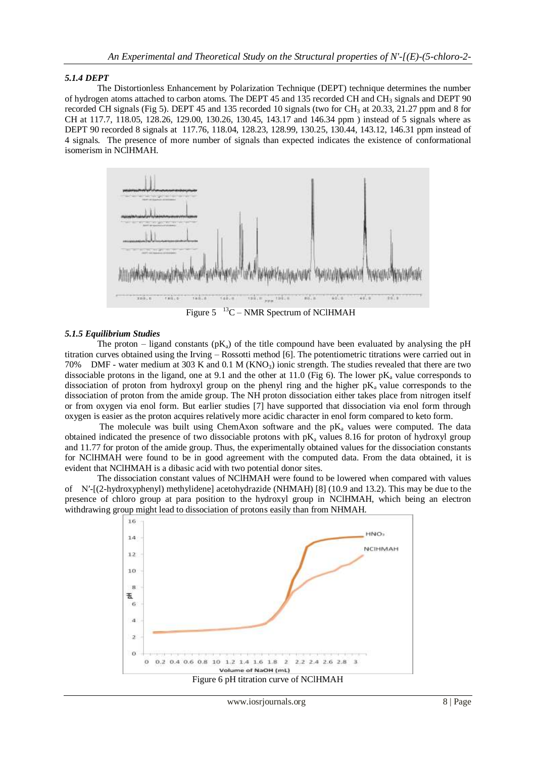#### *5.1.4 DEPT*

The Distortionless Enhancement by Polarization Technique (DEPT) technique determines the number of hydrogen atoms attached to carbon atoms. The DEPT 45 and 135 recorded CH and CH<sub>3</sub> signals and DEPT 90 recorded CH signals (Fig 5). DEPT 45 and 135 recorded 10 signals (two for  $CH_3$  at 20.33, 21.27 ppm and 8 for CH at 117.7, 118.05, 128.26, 129.00, 130.26, 130.45, 143.17 and 146.34 ppm ) instead of 5 signals where as DEPT 90 recorded 8 signals at 117.76, 118.04, 128.23, 128.99, 130.25, 130.44, 143.12, 146.31 ppm instead of 4 signals. The presence of more number of signals than expected indicates the existence of conformational isomerism in NClHMAH.



 Figure 5 <sup>13</sup>C – NMR Spectrum of NClHMAH

#### *5.1.5 Equilibrium Studies*

The proton – ligand constants ( $pK_a$ ) of the title compound have been evaluated by analysing the pH titration curves obtained using the Irving – Rossotti method [6]. The potentiometric titrations were carried out in 70% DMF - water medium at 303 K and 0.1 M (KNO<sub>3</sub>) ionic strength. The studies revealed that there are two dissociable protons in the ligand, one at 9.1 and the other at 11.0 (Fig 6). The lower  $pK_a$  value corresponds to dissociation of proton from hydroxyl group on the phenyl ring and the higher  $pK_a$  value corresponds to the dissociation of proton from the amide group. The NH proton dissociation either takes place from nitrogen itself or from oxygen via enol form. But earlier studies [7] have supported that dissociation via enol form through oxygen is easier as the proton acquires relatively more acidic character in enol form compared to keto form.

The molecule was built using ChemAxon software and the  $pK_a$  values were computed. The data obtained indicated the presence of two dissociable protons with  $pK_a$  values 8.16 for proton of hydroxyl group and 11.77 for proton of the amide group. Thus, the experimentally obtained values for the dissociation constants for NClHMAH were found to be in good agreement with the computed data. From the data obtained, it is evident that NClHMAH is a dibasic acid with two potential donor sites.

 The dissociation constant values of NClHMAH were found to be lowered when compared with values of N′-[(2-hydroxyphenyl) methylidene] acetohydrazide (NHMAH) [8] (10.9 and 13.2). This may be due to the presence of chloro group at para position to the hydroxyl group in NClHMAH, which being an electron withdrawing group might lead to dissociation of protons easily than from NHMAH.



Figure 6 pH titration curve of NClHMAH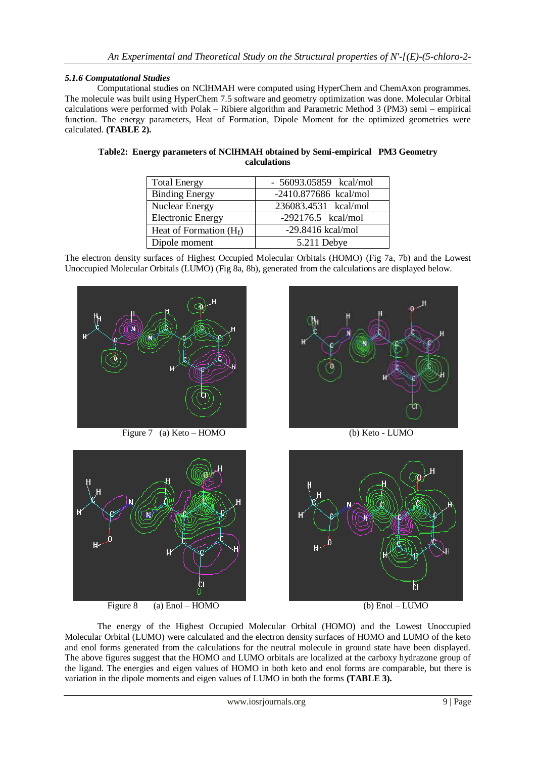#### *5.1.6 Computational Studies*

Computational studies on NClHMAH were computed using HyperChem and ChemAxon programmes. The molecule was built using HyperChem 7.5 software and geometry optimization was done. Molecular Orbital calculations were performed with Polak – Ribiere algorithm and Parametric Method 3 (PM3) semi – empirical function. The energy parameters, Heat of Formation, Dipole Moment for the optimized geometries were calculated. **(TABLE 2).**

| <b>Total Energy</b>       | - 56093.05859 kcal/mol |
|---------------------------|------------------------|
| <b>Binding Energy</b>     | -2410.877686 kcal/mol  |
| <b>Nuclear Energy</b>     | 236083.4531 kcal/mol   |
| <b>Electronic Energy</b>  | $-292176.5$ kcal/mol   |
| Heat of Formation $(H_f)$ | $-29.8416$ kcal/mol    |
| Dipole moment             | 5.211 Debye            |

| Table2: Energy parameters of NCIHMAH obtained by Semi-empirical PM3 Geometry |  |
|------------------------------------------------------------------------------|--|
| calculations                                                                 |  |

The electron density surfaces of Highest Occupied Molecular Orbitals (HOMO) (Fig 7a, 7b) and the Lowest Unoccupied Molecular Orbitals (LUMO) (Fig 8a, 8b), generated from the calculations are displayed below.



Figure 7 (a) Keto – HOMO (b) Keto - LUMO



Figure 8 (a) Enol – HOMO (b) Enol – LUMO





The energy of the Highest Occupied Molecular Orbital (HOMO) and the Lowest Unoccupied Molecular Orbital (LUMO) were calculated and the electron density surfaces of HOMO and LUMO of the keto and enol forms generated from the calculations for the neutral molecule in ground state have been displayed. The above figures suggest that the HOMO and LUMO orbitals are localized at the carboxy hydrazone group of the ligand. The energies and eigen values of HOMO in both keto and enol forms are comparable, but there is variation in the dipole moments and eigen values of LUMO in both the forms **(TABLE 3).**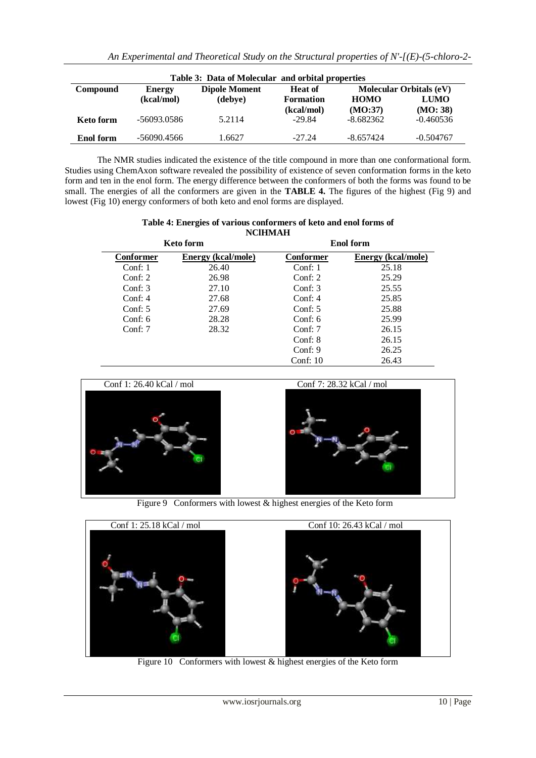| Table 3: Data of Molecular and orbital properties |               |                      |                  |             |                                |  |
|---------------------------------------------------|---------------|----------------------|------------------|-------------|--------------------------------|--|
| <b>Compound</b>                                   | <b>Energy</b> | <b>Dipole Moment</b> | <b>Heat of</b>   |             | <b>Molecular Orbitals (eV)</b> |  |
|                                                   | (kcal/mol)    | (debve)              | <b>Formation</b> | <b>HOMO</b> | <b>LUMO</b>                    |  |
|                                                   |               |                      | (kcal/mol)       | (MO:37)     | (MO: 38)                       |  |
| <b>Keto form</b>                                  | -56093.0586   | 5.2114               | $-29.84$         | $-8.682362$ | $-0.460536$                    |  |
|                                                   |               |                      |                  |             |                                |  |
| <b>Enol</b> form                                  | -56090.4566   | 1.6627               | $-27.24$         | $-8.657424$ | $-0.504767$                    |  |

 The NMR studies indicated the existence of the title compound in more than one conformational form. Studies using ChemAxon software revealed the possibility of existence of seven conformation forms in the keto form and ten in the enol form. The energy difference between the conformers of both the forms was found to be small. The energies of all the conformers are given in the **TABLE 4.** The figures of the highest (Fig 9) and lowest (Fig 10) energy conformers of both keto and enol forms are displayed.

| Table 4: Energies of various conformers of keto and enol forms of |                |  |  |
|-------------------------------------------------------------------|----------------|--|--|
|                                                                   | <b>NCIHMAH</b> |  |  |

| <b>Keto form</b>       |                           |            | <b>Enol form</b>   |
|------------------------|---------------------------|------------|--------------------|
| Conformer              | <b>Energy (kcal/mole)</b> | Conformer  | Energy (kcal/mole) |
| Conf: $1$              | 26.40                     | Conf: $1$  | 25.18              |
| Conf: $2 \overline{ }$ | 26.98                     | Conf: $2$  | 25.29              |
| Conf: $3$              | 27.10                     | Conf: $3$  | 25.55              |
| Conf: $4$              | 27.68                     | Conf: $4$  | 25.85              |
| Conf: $5$              | 27.69                     | Conf: $5$  | 25.88              |
| Conf: $6$              | 28.28                     | Conf: $6$  | 25.99              |
| Conf: $7$              | 28.32                     | Conf: $7$  | 26.15              |
|                        |                           | Conf: 8    | 26.15              |
|                        |                           | Conf: $9$  | 26.25              |
|                        |                           | Conf: $10$ | 26.43              |



Figure 9 Conformers with lowest & highest energies of the Keto form



Figure 10 Conformers with lowest & highest energies of the Keto form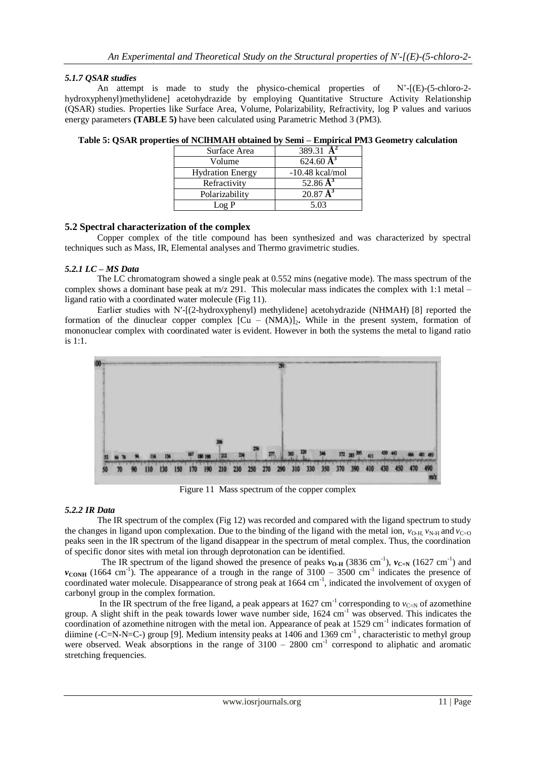#### *5.1.7 QSAR studies*

An attempt is made to study the physico-chemical properties of N'-[(E)-(5-chloro-2 hydroxyphenyl)methylidene] acetohydrazide by employing Quantitative Structure Activity Relationship (QSAR) studies. Properties like Surface Area, Volume, Polarizability, Refractivity, log P values and variuos energy parameters **(TABLE 5)** have been calculated using Parametric Method 3 (PM3).

| Surface Area            | 389.31 $\mathbf{A}^2$    |
|-------------------------|--------------------------|
| Volume                  | 624.60 $\AA^3$           |
| <b>Hydration Energy</b> | $-10.48$ kcal/mol        |
| Refractivity            | 52.86 $A^3$              |
| Polarizability          | $20.87 \,\mathrm{\AA}^3$ |
| Log P                   | 5.03                     |

**Table 5: QSAR properties of NClHMAH obtained by Semi – Empirical PM3 Geometry calculation**

### **5.2 Spectral characterization of the complex**

Copper complex of the title compound has been synthesized and was characterized by spectral techniques such as Mass, IR, Elemental analyses and Thermo gravimetric studies.

### *5.2.1 LC – MS Data*

The LC chromatogram showed a single peak at 0.552 mins (negative mode). The mass spectrum of the complex shows a dominant base peak at  $m/z$  291. This molecular mass indicates the complex with 1:1 metal – ligand ratio with a coordinated water molecule (Fig 11).

 Earlier studies with N′-[(2-hydroxyphenyl) methylidene] acetohydrazide (NHMAH) [8] reported the formation of the dinuclear copper complex  $\left[ Cu - (NMA) \right]_2$ . While in the present system, formation of mononuclear complex with coordinated water is evident. However in both the systems the metal to ligand ratio is 1:1.



Figure 11 Mass spectrum of the copper complex

#### *5.2.2 IR Data*

The IR spectrum of the complex (Fig 12) was recorded and compared with the ligand spectrum to study the changes in ligand upon complexation. Due to the binding of the ligand with the metal ion,  $v_{\text{OM}} v_{\text{NH}}$  and  $v_{\text{CO}}$ peaks seen in the IR spectrum of the ligand disappear in the spectrum of metal complex. Thus, the coordination of specific donor sites with metal ion through deprotonation can be identified.

The IR spectrum of the ligand showed the presence of peaks  $v_{O-H}$  (3836 cm<sup>-1</sup>),  $v_{C-N}$  (1627 cm<sup>-1</sup>) and  $v_{\text{COMH}}$  (1664 cm<sup>-1</sup>). The appearance of a trough in the range of 3100 – 3500 cm<sup>-1</sup> indicates the presence of coordinated water molecule. Disappearance of strong peak at 1664 cm<sup>-1</sup>, indicated the involvement of oxygen of carbonyl group in the complex formation.

In the IR spectrum of the free ligand, a peak appears at  $1627 \text{ cm}^{-1}$  corresponding to  $v_{C=N}$  of azomethine group. A slight shift in the peak towards lower wave number side,  $1624 \text{ cm}^{-1}$  was observed. This indicates the coordination of azomethine nitrogen with the metal ion. Appearance of peak at 1529 cm<sup>-1</sup> indicates formation of diimine (-C=N-N=C-) group [9]. Medium intensity peaks at 1406 and  $1369 \text{ cm}^{-1}$ , characteristic to methyl group were observed. Weak absorptions in the range of  $3100 - 2800$  cm<sup>-1</sup> correspond to aliphatic and aromatic stretching frequencies.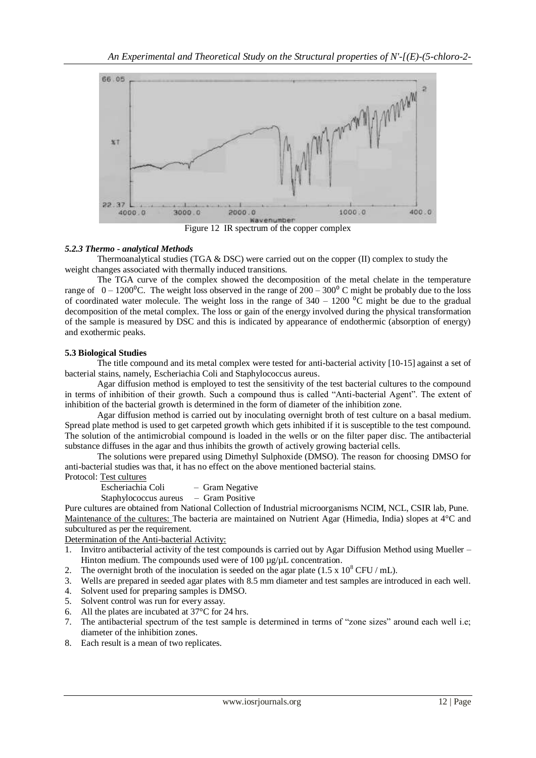

Figure 12 IR spectrum of the copper complex

#### *5.2.3 Thermo - analytical Methods*

Thermoanalytical studies (TGA & DSC) were carried out on the copper (II) complex to study the weight changes associated with thermally induced transitions.

 The TGA curve of the complex showed the decomposition of the metal chelate in the temperature range of  $0 - 1200^{\circ}$ C. The weight loss observed in the range of  $200 - 300^{\circ}$  C might be probably due to the loss of coordinated water molecule. The weight loss in the range of  $340 - 1200$  °C might be due to the gradual decomposition of the metal complex. The loss or gain of the energy involved during the physical transformation of the sample is measured by DSC and this is indicated by appearance of endothermic (absorption of energy) and exothermic peaks.

### **5.3 Biological Studies**

The title compound and its metal complex were tested for anti-bacterial activity [10-15] against a set of bacterial stains, namely, Escheriachia Coli and Staphylococcus aureus.

 Agar diffusion method is employed to test the sensitivity of the test bacterial cultures to the compound in terms of inhibition of their growth. Such a compound thus is called "Anti-bacterial Agent". The extent of inhibition of the bacterial growth is determined in the form of diameter of the inhibition zone.

 Agar diffusion method is carried out by inoculating overnight broth of test culture on a basal medium. Spread plate method is used to get carpeted growth which gets inhibited if it is susceptible to the test compound. The solution of the antimicrobial compound is loaded in the wells or on the filter paper disc. The antibacterial substance diffuses in the agar and thus inhibits the growth of actively growing bacterial cells.

 The solutions were prepared using Dimethyl Sulphoxide (DMSO). The reason for choosing DMSO for anti-bacterial studies was that, it has no effect on the above mentioned bacterial stains.

### Protocol: Test cultures

Escheriachia Coli – Gram Negative

Staphylococcus aureus – Gram Positive

Pure cultures are obtained from National Collection of Industrial microorganisms NCIM, NCL, CSIR lab, Pune. Maintenance of the cultures: The bacteria are maintained on Nutrient Agar (Himedia, India) slopes at 4°C and subcultured as per the requirement.

Determination of the Anti-bacterial Activity:

- 1. Invitro antibacterial activity of the test compounds is carried out by Agar Diffusion Method using Mueller Hinton medium. The compounds used were of 100  $\mu$ g/ $\mu$ L concentration.
- 2. The overnight broth of the inoculation is seeded on the agar plate  $(1.5 \times 10^8 \text{ CFU/mL})$ .
- 3. Wells are prepared in seeded agar plates with 8.5 mm diameter and test samples are introduced in each well.
- Solvent used for preparing samples is DMSO.
- 5. Solvent control was run for every assay.
- 6. All the plates are incubated at 37°C for 24 hrs.
- 7. The antibacterial spectrum of the test sample is determined in terms of "zone sizes" around each well i.e; diameter of the inhibition zones.
- 8. Each result is a mean of two replicates.